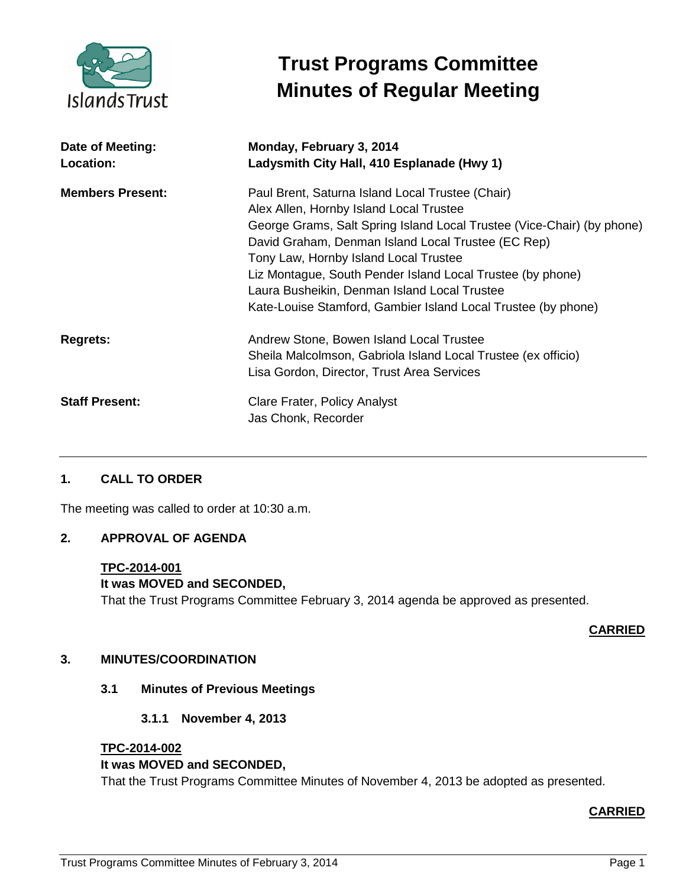

# **Trust Programs Committee Minutes of Regular Meeting**

| Date of Meeting:<br>Location: | Monday, February 3, 2014<br>Ladysmith City Hall, 410 Esplanade (Hwy 1)                                                                                                                                                                                                                                                                                                                                                                              |
|-------------------------------|-----------------------------------------------------------------------------------------------------------------------------------------------------------------------------------------------------------------------------------------------------------------------------------------------------------------------------------------------------------------------------------------------------------------------------------------------------|
| <b>Members Present:</b>       | Paul Brent, Saturna Island Local Trustee (Chair)<br>Alex Allen, Hornby Island Local Trustee<br>George Grams, Salt Spring Island Local Trustee (Vice-Chair) (by phone)<br>David Graham, Denman Island Local Trustee (EC Rep)<br>Tony Law, Hornby Island Local Trustee<br>Liz Montague, South Pender Island Local Trustee (by phone)<br>Laura Busheikin, Denman Island Local Trustee<br>Kate-Louise Stamford, Gambier Island Local Trustee (by phone) |
| <b>Regrets:</b>               | Andrew Stone, Bowen Island Local Trustee<br>Sheila Malcolmson, Gabriola Island Local Trustee (ex officio)<br>Lisa Gordon, Director, Trust Area Services                                                                                                                                                                                                                                                                                             |
| <b>Staff Present:</b>         | Clare Frater, Policy Analyst<br>Jas Chonk, Recorder                                                                                                                                                                                                                                                                                                                                                                                                 |

# **1. CALL TO ORDER**

The meeting was called to order at 10:30 a.m.

## **2. APPROVAL OF AGENDA**

#### **TPC-2014-001**

**It was MOVED and SECONDED,**

That the Trust Programs Committee February 3, 2014 agenda be approved as presented.

#### **CARRIED**

## **3. MINUTES/COORDINATION**

## **3.1 Minutes of Previous Meetings**

**3.1.1 November 4, 2013**

#### **TPC-2014-002**

## **It was MOVED and SECONDED,**

That the Trust Programs Committee Minutes of November 4, 2013 be adopted as presented.

## **CARRIED**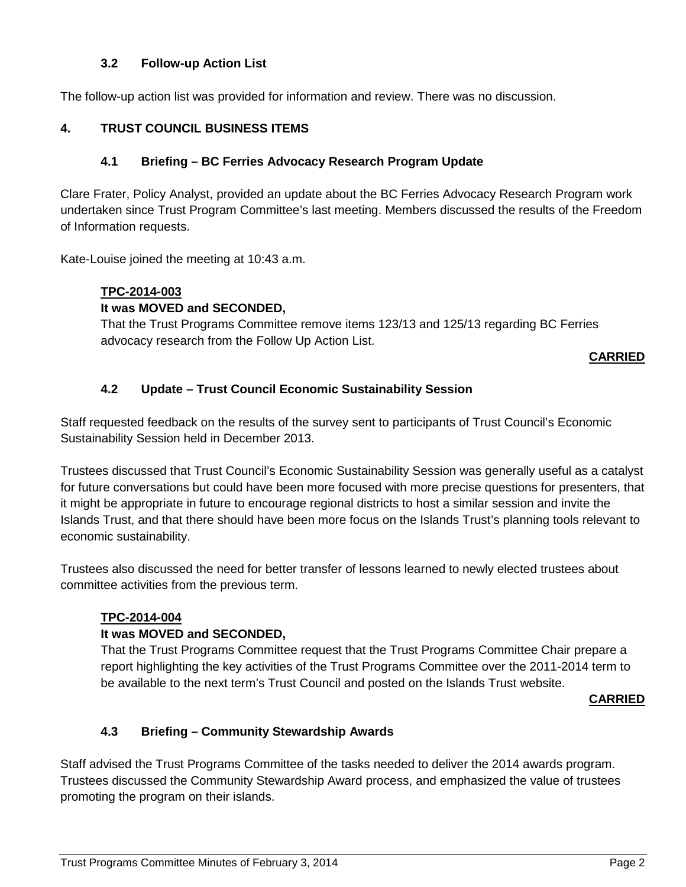# **3.2 Follow-up Action List**

The follow-up action list was provided for information and review. There was no discussion.

## **4. TRUST COUNCIL BUSINESS ITEMS**

## **4.1 Briefing – BC Ferries Advocacy Research Program Update**

Clare Frater, Policy Analyst, provided an update about the BC Ferries Advocacy Research Program work undertaken since Trust Program Committee's last meeting. Members discussed the results of the Freedom of Information requests.

Kate-Louise joined the meeting at 10:43 a.m.

## **TPC-2014-003**

## **It was MOVED and SECONDED,**

That the Trust Programs Committee remove items 123/13 and 125/13 regarding BC Ferries advocacy research from the Follow Up Action List.

## **CARRIED**

## **4.2 Update – Trust Council Economic Sustainability Session**

Staff requested feedback on the results of the survey sent to participants of Trust Council's Economic Sustainability Session held in December 2013.

Trustees discussed that Trust Council's Economic Sustainability Session was generally useful as a catalyst for future conversations but could have been more focused with more precise questions for presenters, that it might be appropriate in future to encourage regional districts to host a similar session and invite the Islands Trust, and that there should have been more focus on the Islands Trust's planning tools relevant to economic sustainability.

Trustees also discussed the need for better transfer of lessons learned to newly elected trustees about committee activities from the previous term.

## **TPC-2014-004**

## **It was MOVED and SECONDED,**

That the Trust Programs Committee request that the Trust Programs Committee Chair prepare a report highlighting the key activities of the Trust Programs Committee over the 2011-2014 term to be available to the next term's Trust Council and posted on the Islands Trust website.

## **CARRIED**

## **4.3 Briefing – Community Stewardship Awards**

Staff advised the Trust Programs Committee of the tasks needed to deliver the 2014 awards program. Trustees discussed the Community Stewardship Award process, and emphasized the value of trustees promoting the program on their islands.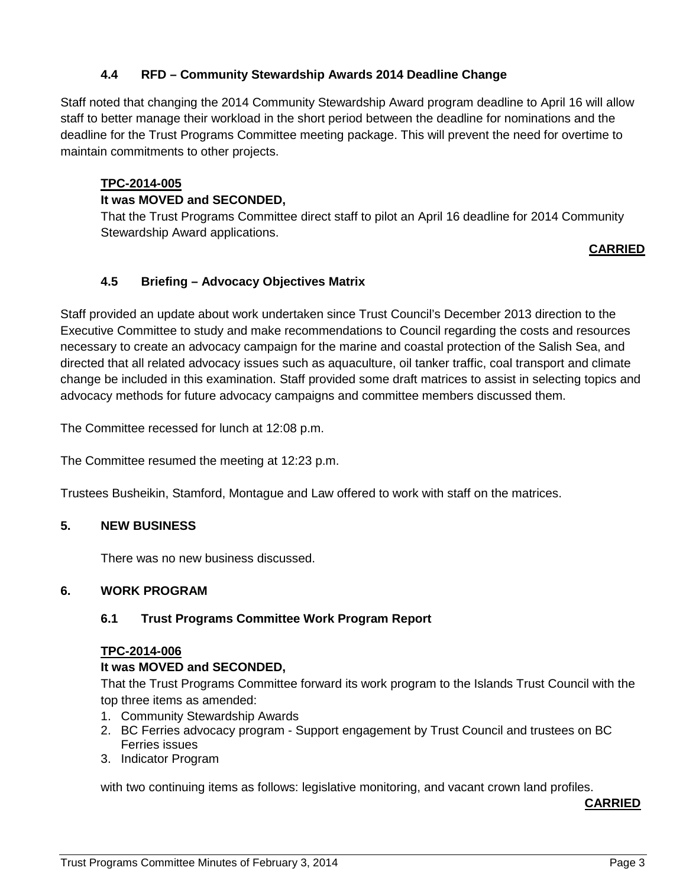# **4.4 RFD – Community Stewardship Awards 2014 Deadline Change**

Staff noted that changing the 2014 Community Stewardship Award program deadline to April 16 will allow staff to better manage their workload in the short period between the deadline for nominations and the deadline for the Trust Programs Committee meeting package. This will prevent the need for overtime to maintain commitments to other projects.

## **TPC-2014-005**

## **It was MOVED and SECONDED,**

That the Trust Programs Committee direct staff to pilot an April 16 deadline for 2014 Community Stewardship Award applications.

## **CARRIED**

## **4.5 Briefing – Advocacy Objectives Matrix**

Staff provided an update about work undertaken since Trust Council's December 2013 direction to the Executive Committee to study and make recommendations to Council regarding the costs and resources necessary to create an advocacy campaign for the marine and coastal protection of the Salish Sea, and directed that all related advocacy issues such as aquaculture, oil tanker traffic, coal transport and climate change be included in this examination. Staff provided some draft matrices to assist in selecting topics and advocacy methods for future advocacy campaigns and committee members discussed them.

The Committee recessed for lunch at 12:08 p.m.

The Committee resumed the meeting at 12:23 p.m.

Trustees Busheikin, Stamford, Montague and Law offered to work with staff on the matrices.

## **5. NEW BUSINESS**

There was no new business discussed.

## **6. WORK PROGRAM**

## **6.1 Trust Programs Committee Work Program Report**

#### **TPC-2014-006**

## **It was MOVED and SECONDED,**

That the Trust Programs Committee forward its work program to the Islands Trust Council with the top three items as amended:

- 1. Community Stewardship Awards
- 2. BC Ferries advocacy program Support engagement by Trust Council and trustees on BC Ferries issues
- 3. Indicator Program

with two continuing items as follows: legislative monitoring, and vacant crown land profiles.

**CARRIED**